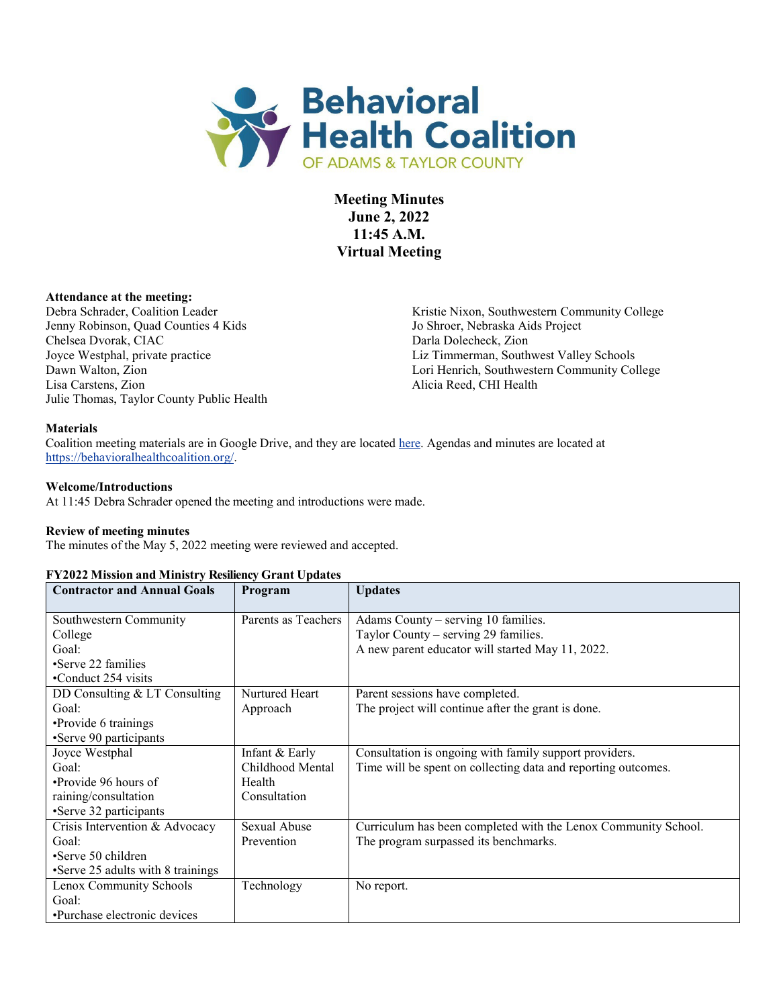

**Meeting Minutes June 2, 2022 11:45 A.M. Virtual Meeting**

### **Attendance at the meeting:**

Debra Schrader, Coalition Leader Jenny Robinson, Quad Counties 4 Kids Chelsea Dvorak, CIAC Joyce Westphal, private practice Julie Thomas, Taylor County Public Health

Kristie Nixon, Southwestern Community College Jo Shroer, Nebraska Aids Project Darla Dolecheck, Zion Liz Timmerman, Southwest Valley Schools Dawn Walton, Zion Lori Henrich, Southwestern Community College<br>Lisa Carstens, Zion Alicia Reed, CHI Health Alicia Reed, CHI Health

#### **Materials**

Coalition meeting materials are in Google Drive, and they are located [here.](https://drive.google.com/drive/folders/1dl-mbUk2vGEGtgoBxd8ujanqh1oR9C-O?usp=sharing) Agendas and minutes are located at [https://behavioralhealthcoalition.org/.](https://behavioralhealthcoalition.org/)

#### **Welcome/Introductions**

At 11:45 Debra Schrader opened the meeting and introductions were made.

#### **Review of meeting minutes**

The minutes of the May 5, 2022 meeting were reviewed and accepted.

#### **FY2022 Mission and Ministry Resiliency Grant Updates**

| <b>Contractor and Annual Goals</b> | Program             | <b>Updates</b>                                                 |
|------------------------------------|---------------------|----------------------------------------------------------------|
| Southwestern Community             | Parents as Teachers | Adams County – serving 10 families.                            |
| College                            |                     | Taylor County – serving 29 families.                           |
| Goal:                              |                     | A new parent educator will started May 11, 2022.               |
| •Serve 22 families                 |                     |                                                                |
| •Conduct 254 visits                |                     |                                                                |
| DD Consulting & LT Consulting      | Nurtured Heart      | Parent sessions have completed.                                |
| Goal:                              | Approach            | The project will continue after the grant is done.             |
| •Provide 6 trainings               |                     |                                                                |
| •Serve 90 participants             |                     |                                                                |
| Joyce Westphal                     | Infant & Early      | Consultation is ongoing with family support providers.         |
| Goal:                              | Childhood Mental    | Time will be spent on collecting data and reporting outcomes.  |
| •Provide 96 hours of               | Health              |                                                                |
| raining/consultation               | Consultation        |                                                                |
| •Serve 32 participants             |                     |                                                                |
| Crisis Intervention & Advocacy     | Sexual Abuse        | Curriculum has been completed with the Lenox Community School. |
| Goal:                              | Prevention          | The program surpassed its benchmarks.                          |
| •Serve 50 children                 |                     |                                                                |
| •Serve 25 adults with 8 trainings  |                     |                                                                |
| Lenox Community Schools            | Technology          | No report.                                                     |
| Goal:                              |                     |                                                                |
| •Purchase electronic devices       |                     |                                                                |